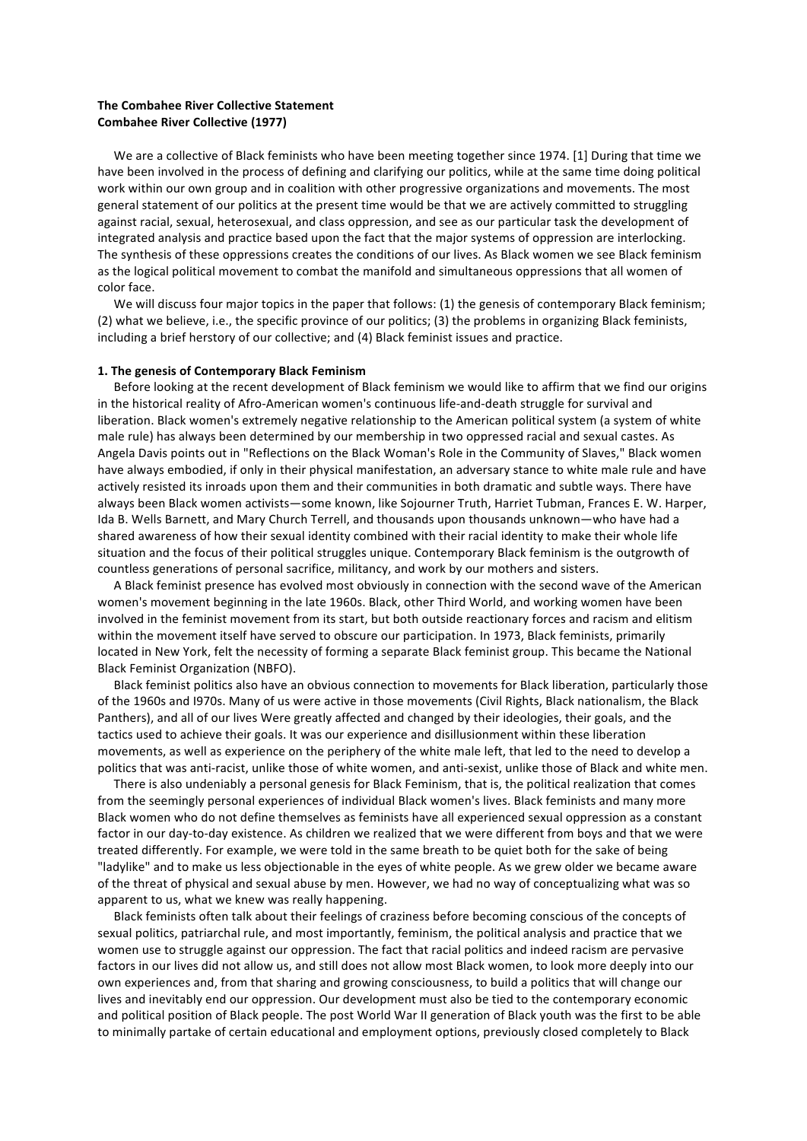# **The Combahee River Collective Statement Combahee River Collective (1977)**

We are a collective of Black feminists who have been meeting together since 1974. [1] During that time we have been involved in the process of defining and clarifying our politics, while at the same time doing political work within our own group and in coalition with other progressive organizations and movements. The most general statement of our politics at the present time would be that we are actively committed to struggling against racial, sexual, heterosexual, and class oppression, and see as our particular task the development of integrated analysis and practice based upon the fact that the major systems of oppression are interlocking. The synthesis of these oppressions creates the conditions of our lives. As Black women we see Black feminism as the logical political movement to combat the manifold and simultaneous oppressions that all women of color face.

We will discuss four major topics in the paper that follows: (1) the genesis of contemporary Black feminism; (2) what we believe, i.e., the specific province of our politics; (3) the problems in organizing Black feminists, including a brief herstory of our collective; and (4) Black feminist issues and practice.

### 1. The genesis of Contemporary Black Feminism

Before looking at the recent development of Black feminism we would like to affirm that we find our origins in the historical reality of Afro-American women's continuous life-and-death struggle for survival and liberation. Black women's extremely negative relationship to the American political system (a system of white male rule) has always been determined by our membership in two oppressed racial and sexual castes. As Angela Davis points out in "Reflections on the Black Woman's Role in the Community of Slaves," Black women have always embodied, if only in their physical manifestation, an adversary stance to white male rule and have actively resisted its inroads upon them and their communities in both dramatic and subtle ways. There have always been Black women activists—some known, like Sojourner Truth, Harriet Tubman, Frances E. W. Harper, Ida B. Wells Barnett, and Mary Church Terrell, and thousands upon thousands unknown—who have had a shared awareness of how their sexual identity combined with their racial identity to make their whole life situation and the focus of their political struggles unique. Contemporary Black feminism is the outgrowth of countless generations of personal sacrifice, militancy, and work by our mothers and sisters.

A Black feminist presence has evolved most obviously in connection with the second wave of the American women's movement beginning in the late 1960s. Black, other Third World, and working women have been involved in the feminist movement from its start, but both outside reactionary forces and racism and elitism within the movement itself have served to obscure our participation. In 1973, Black feminists, primarily located in New York, felt the necessity of forming a separate Black feminist group. This became the National Black Feminist Organization (NBFO).

Black feminist politics also have an obvious connection to movements for Black liberation, particularly those of the 1960s and I970s. Many of us were active in those movements (Civil Rights, Black nationalism, the Black Panthers), and all of our lives Were greatly affected and changed by their ideologies, their goals, and the tactics used to achieve their goals. It was our experience and disillusionment within these liberation movements, as well as experience on the periphery of the white male left, that led to the need to develop a politics that was anti-racist, unlike those of white women, and anti-sexist, unlike those of Black and white men.

There is also undeniably a personal genesis for Black Feminism, that is, the political realization that comes from the seemingly personal experiences of individual Black women's lives. Black feminists and many more Black women who do not define themselves as feminists have all experienced sexual oppression as a constant factor in our day-to-day existence. As children we realized that we were different from boys and that we were treated differently. For example, we were told in the same breath to be quiet both for the sake of being "ladylike" and to make us less objectionable in the eyes of white people. As we grew older we became aware of the threat of physical and sexual abuse by men. However, we had no way of conceptualizing what was so apparent to us, what we knew was really happening.

Black feminists often talk about their feelings of craziness before becoming conscious of the concepts of sexual politics, patriarchal rule, and most importantly, feminism, the political analysis and practice that we women use to struggle against our oppression. The fact that racial politics and indeed racism are pervasive factors in our lives did not allow us, and still does not allow most Black women, to look more deeply into our own experiences and, from that sharing and growing consciousness, to build a politics that will change our lives and inevitably end our oppression. Our development must also be tied to the contemporary economic and political position of Black people. The post World War II generation of Black youth was the first to be able to minimally partake of certain educational and employment options, previously closed completely to Black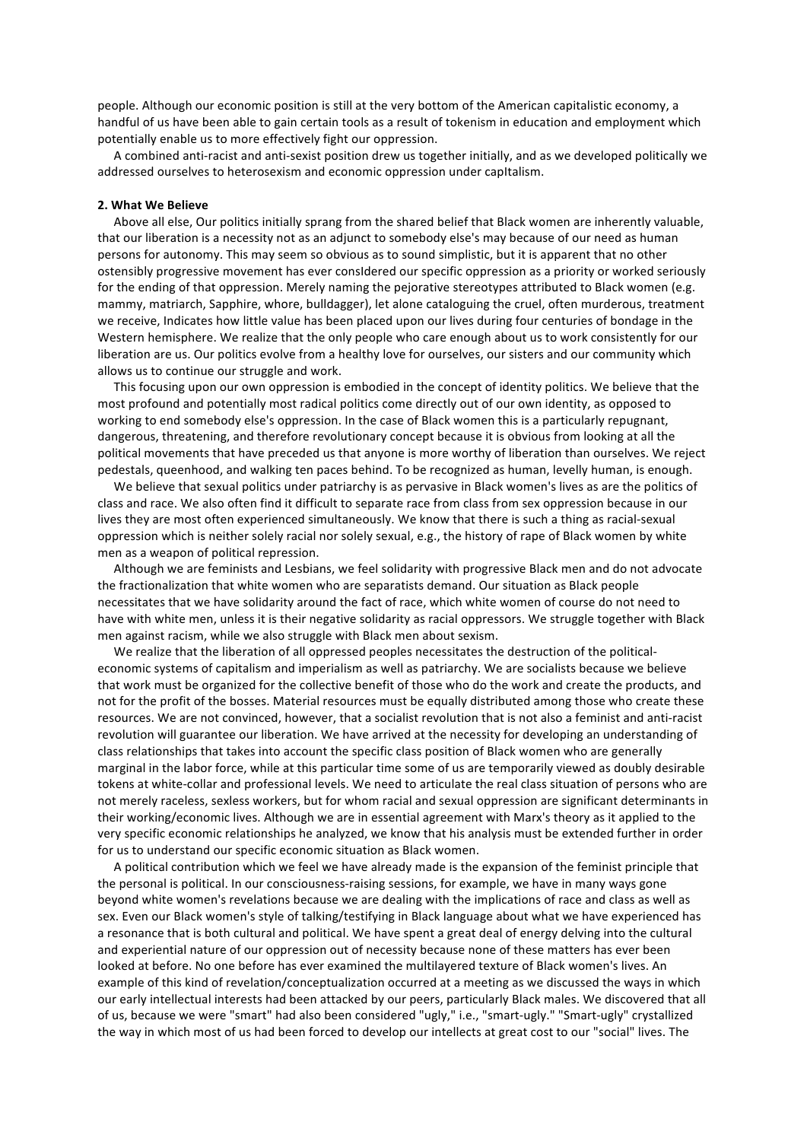people. Although our economic position is still at the very bottom of the American capitalistic economy, a handful of us have been able to gain certain tools as a result of tokenism in education and employment which potentially enable us to more effectively fight our oppression.

A combined anti-racist and anti-sexist position drew us together initially, and as we developed politically we addressed ourselves to heterosexism and economic oppression under capItalism.

## **2. What We Believe**

Above all else, Our politics initially sprang from the shared belief that Black women are inherently valuable, that our liberation is a necessity not as an adjunct to somebody else's may because of our need as human persons for autonomy. This may seem so obvious as to sound simplistic, but it is apparent that no other ostensibly progressive movement has ever consIdered our specific oppression as a priority or worked seriously for the ending of that oppression. Merely naming the pejorative stereotypes attributed to Black women (e.g. mammy, matriarch, Sapphire, whore, bulldagger), let alone cataloguing the cruel, often murderous, treatment we receive, Indicates how little value has been placed upon our lives during four centuries of bondage in the Western hemisphere. We realize that the only people who care enough about us to work consistently for our liberation are us. Our politics evolve from a healthy love for ourselves, our sisters and our community which allows us to continue our struggle and work.

This focusing upon our own oppression is embodied in the concept of identity politics. We believe that the most profound and potentially most radical politics come directly out of our own identity, as opposed to working to end somebody else's oppression. In the case of Black women this is a particularly repugnant, dangerous, threatening, and therefore revolutionary concept because it is obvious from looking at all the political movements that have preceded us that anyone is more worthy of liberation than ourselves. We reject pedestals, queenhood, and walking ten paces behind. To be recognized as human, levelly human, is enough.

We believe that sexual politics under patriarchy is as pervasive in Black women's lives as are the politics of class and race. We also often find it difficult to separate race from class from sex oppression because in our lives they are most often experienced simultaneously. We know that there is such a thing as racial-sexual oppression which is neither solely racial nor solely sexual, e.g., the history of rape of Black women by white men as a weapon of political repression.

Although we are feminists and Lesbians, we feel solidarity with progressive Black men and do not advocate the fractionalization that white women who are separatists demand. Our situation as Black people necessitates that we have solidarity around the fact of race, which white women of course do not need to have with white men, unless it is their negative solidarity as racial oppressors. We struggle together with Black men against racism, while we also struggle with Black men about sexism.

We realize that the liberation of all oppressed peoples necessitates the destruction of the politicaleconomic systems of capitalism and imperialism as well as patriarchy. We are socialists because we believe that work must be organized for the collective benefit of those who do the work and create the products, and not for the profit of the bosses. Material resources must be equally distributed among those who create these resources. We are not convinced, however, that a socialist revolution that is not also a feminist and anti-racist revolution will guarantee our liberation. We have arrived at the necessity for developing an understanding of class relationships that takes into account the specific class position of Black women who are generally marginal in the labor force, while at this particular time some of us are temporarily viewed as doubly desirable tokens at white-collar and professional levels. We need to articulate the real class situation of persons who are not merely raceless, sexless workers, but for whom racial and sexual oppression are significant determinants in their working/economic lives. Although we are in essential agreement with Marx's theory as it applied to the very specific economic relationships he analyzed, we know that his analysis must be extended further in order for us to understand our specific economic situation as Black women.

A political contribution which we feel we have already made is the expansion of the feminist principle that the personal is political. In our consciousness-raising sessions, for example, we have in many ways gone beyond white women's revelations because we are dealing with the implications of race and class as well as sex. Even our Black women's style of talking/testifying in Black language about what we have experienced has a resonance that is both cultural and political. We have spent a great deal of energy delving into the cultural and experiential nature of our oppression out of necessity because none of these matters has ever been looked at before. No one before has ever examined the multilayered texture of Black women's lives. An example of this kind of revelation/conceptualization occurred at a meeting as we discussed the ways in which our early intellectual interests had been attacked by our peers, particularly Black males. We discovered that all of us, because we were "smart" had also been considered "ugly," i.e., "smart-ugly." "Smart-ugly" crystallized the way in which most of us had been forced to develop our intellects at great cost to our "social" lives. The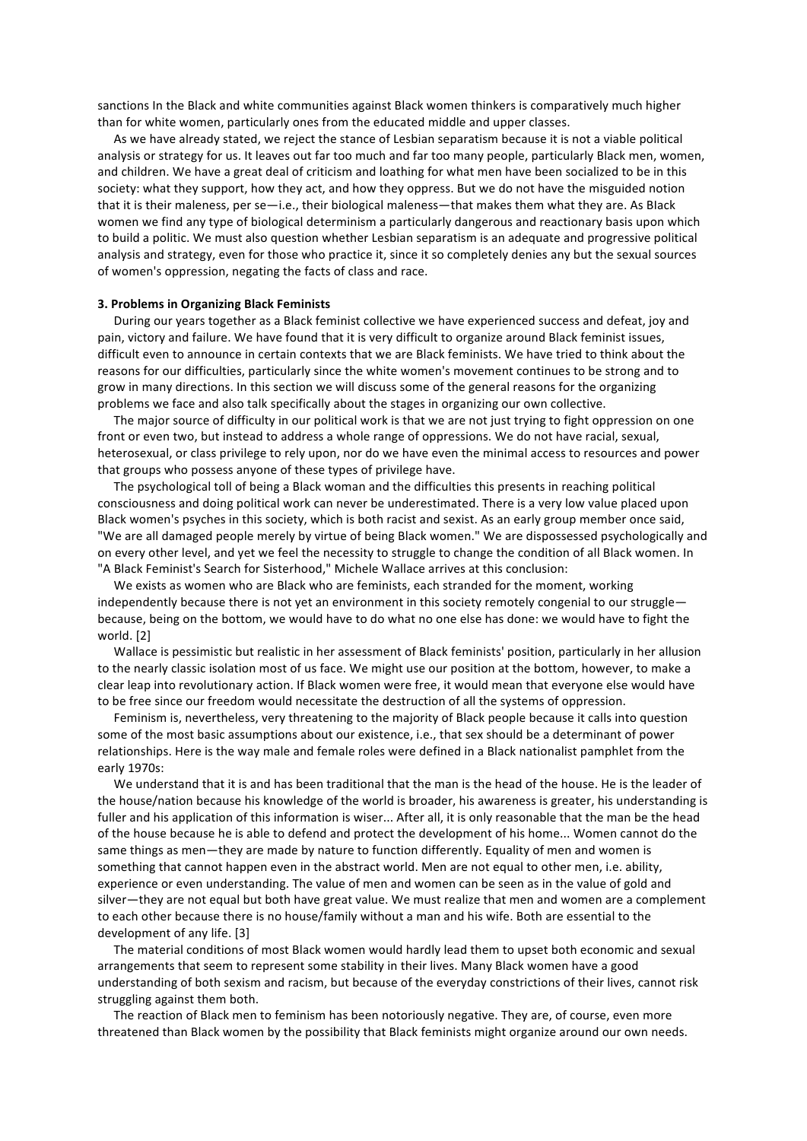sanctions In the Black and white communities against Black women thinkers is comparatively much higher than for white women, particularly ones from the educated middle and upper classes.

As we have already stated, we reject the stance of Lesbian separatism because it is not a viable political analysis or strategy for us. It leaves out far too much and far too many people, particularly Black men, women, and children. We have a great deal of criticism and loathing for what men have been socialized to be in this society: what they support, how they act, and how they oppress. But we do not have the misguided notion that it is their maleness, per se—i.e., their biological maleness—that makes them what they are. As Black women we find any type of biological determinism a particularly dangerous and reactionary basis upon which to build a politic. We must also question whether Lesbian separatism is an adequate and progressive political analysis and strategy, even for those who practice it, since it so completely denies any but the sexual sources of women's oppression, negating the facts of class and race.

## **3. Problems in Organizing Black Feminists**

During our years together as a Black feminist collective we have experienced success and defeat, joy and pain, victory and failure. We have found that it is very difficult to organize around Black feminist issues, difficult even to announce in certain contexts that we are Black feminists. We have tried to think about the reasons for our difficulties, particularly since the white women's movement continues to be strong and to grow in many directions. In this section we will discuss some of the general reasons for the organizing problems we face and also talk specifically about the stages in organizing our own collective.

The major source of difficulty in our political work is that we are not just trying to fight oppression on one front or even two, but instead to address a whole range of oppressions. We do not have racial, sexual, heterosexual, or class privilege to rely upon, nor do we have even the minimal access to resources and power that groups who possess anyone of these types of privilege have.

The psychological toll of being a Black woman and the difficulties this presents in reaching political consciousness and doing political work can never be underestimated. There is a very low value placed upon Black women's psyches in this society, which is both racist and sexist. As an early group member once said, "We are all damaged people merely by virtue of being Black women." We are dispossessed psychologically and on every other level, and yet we feel the necessity to struggle to change the condition of all Black women. In "A Black Feminist's Search for Sisterhood," Michele Wallace arrives at this conclusion:

We exists as women who are Black who are feminists, each stranded for the moment, working independently because there is not yet an environment in this society remotely congenial to our strugglebecause, being on the bottom, we would have to do what no one else has done: we would have to fight the world. [2]

Wallace is pessimistic but realistic in her assessment of Black feminists' position, particularly in her allusion to the nearly classic isolation most of us face. We might use our position at the bottom, however, to make a clear leap into revolutionary action. If Black women were free, it would mean that everyone else would have to be free since our freedom would necessitate the destruction of all the systems of oppression.

Feminism is, nevertheless, very threatening to the majority of Black people because it calls into question some of the most basic assumptions about our existence, i.e., that sex should be a determinant of power relationships. Here is the way male and female roles were defined in a Black nationalist pamphlet from the early 1970s:

We understand that it is and has been traditional that the man is the head of the house. He is the leader of the house/nation because his knowledge of the world is broader, his awareness is greater, his understanding is fuller and his application of this information is wiser... After all, it is only reasonable that the man be the head of the house because he is able to defend and protect the development of his home... Women cannot do the same things as men—they are made by nature to function differently. Equality of men and women is something that cannot happen even in the abstract world. Men are not equal to other men, i.e. ability, experience or even understanding. The value of men and women can be seen as in the value of gold and silver—they are not equal but both have great value. We must realize that men and women are a complement to each other because there is no house/family without a man and his wife. Both are essential to the development of any life. [3]

The material conditions of most Black women would hardly lead them to upset both economic and sexual arrangements that seem to represent some stability in their lives. Many Black women have a good understanding of both sexism and racism, but because of the everyday constrictions of their lives, cannot risk struggling against them both.

The reaction of Black men to feminism has been notoriously negative. They are, of course, even more threatened than Black women by the possibility that Black feminists might organize around our own needs.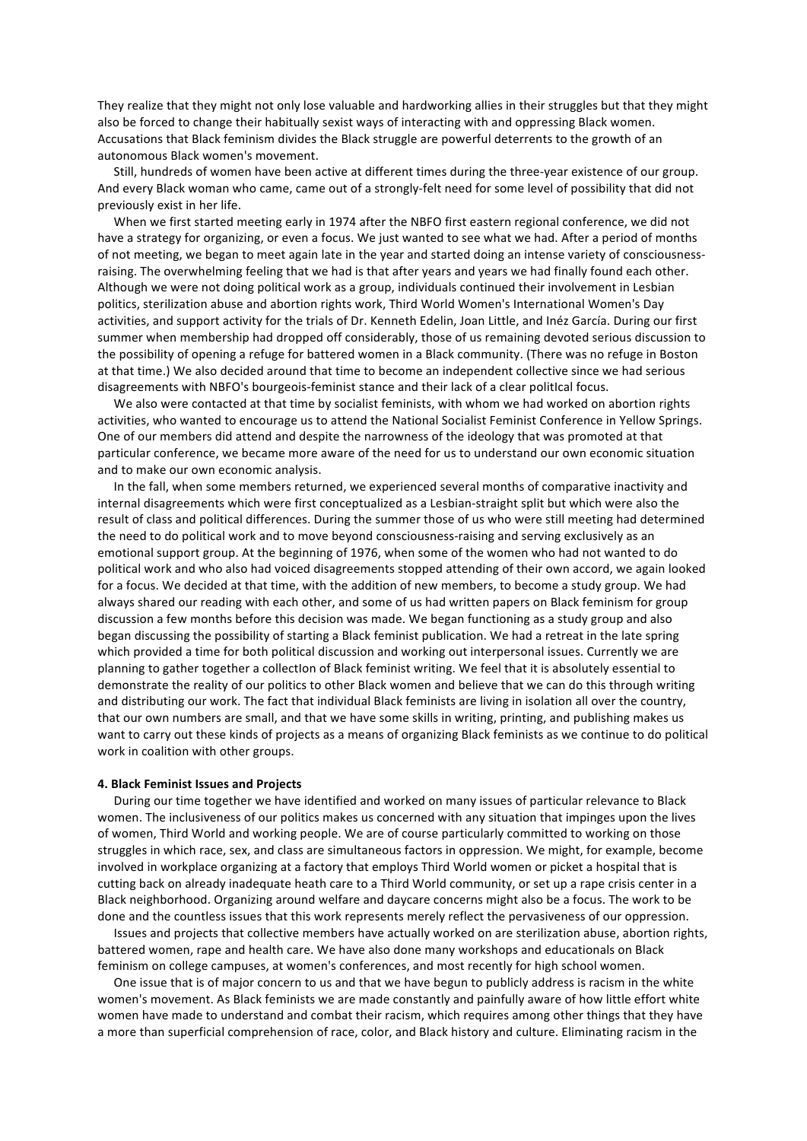They realize that they might not only lose valuable and hardworking allies in their struggles but that they might also be forced to change their habitually sexist ways of interacting with and oppressing Black women. Accusations that Black feminism divides the Black struggle are powerful deterrents to the growth of an autonomous Black women's movement.

Still, hundreds of women have been active at different times during the three-year existence of our group. And every Black woman who came, came out of a strongly-felt need for some level of possibility that did not previously exist in her life.

When we first started meeting early in 1974 after the NBFO first eastern regional conference, we did not have a strategy for organizing, or even a focus. We just wanted to see what we had. After a period of months of not meeting, we began to meet again late in the year and started doing an intense variety of consciousnessraising. The overwhelming feeling that we had is that after years and years we had finally found each other. Although we were not doing political work as a group, individuals continued their involvement in Lesbian politics, sterilization abuse and abortion rights work, Third World Women's International Women's Day activities, and support activity for the trials of Dr. Kenneth Edelin, Joan Little, and Inéz García. During our first summer when membership had dropped off considerably, those of us remaining devoted serious discussion to the possibility of opening a refuge for battered women in a Black community. (There was no refuge in Boston at that time.) We also decided around that time to become an independent collective since we had serious disagreements with NBFO's bourgeois-feminist stance and their lack of a clear political focus.

We also were contacted at that time by socialist feminists, with whom we had worked on abortion rights activities, who wanted to encourage us to attend the National Socialist Feminist Conference in Yellow Springs. One of our members did attend and despite the narrowness of the ideology that was promoted at that particular conference, we became more aware of the need for us to understand our own economic situation and to make our own economic analysis.

In the fall, when some members returned, we experienced several months of comparative inactivity and internal disagreements which were first conceptualized as a Lesbian-straight split but which were also the result of class and political differences. During the summer those of us who were still meeting had determined the need to do political work and to move beyond consciousness-raising and serving exclusively as an emotional support group. At the beginning of 1976, when some of the women who had not wanted to do political work and who also had voiced disagreements stopped attending of their own accord, we again looked for a focus. We decided at that time, with the addition of new members, to become a study group. We had always shared our reading with each other, and some of us had written papers on Black feminism for group discussion a few months before this decision was made. We began functioning as a study group and also began discussing the possibility of starting a Black feminist publication. We had a retreat in the late spring which provided a time for both political discussion and working out interpersonal issues. Currently we are planning to gather together a collection of Black feminist writing. We feel that it is absolutely essential to demonstrate the reality of our politics to other Black women and believe that we can do this through writing and distributing our work. The fact that individual Black feminists are living in isolation all over the country, that our own numbers are small, and that we have some skills in writing, printing, and publishing makes us want to carry out these kinds of projects as a means of organizing Black feminists as we continue to do political work in coalition with other groups.

### **4. Black Feminist Issues and Projects**

During our time together we have identified and worked on many issues of particular relevance to Black women. The inclusiveness of our politics makes us concerned with any situation that impinges upon the lives of women, Third World and working people. We are of course particularly committed to working on those struggles in which race, sex, and class are simultaneous factors in oppression. We might, for example, become involved in workplace organizing at a factory that employs Third World women or picket a hospital that is cutting back on already inadequate heath care to a Third World community, or set up a rape crisis center in a Black neighborhood. Organizing around welfare and daycare concerns might also be a focus. The work to be done and the countless issues that this work represents merely reflect the pervasiveness of our oppression.

Issues and projects that collective members have actually worked on are sterilization abuse, abortion rights, battered women, rape and health care. We have also done many workshops and educationals on Black feminism on college campuses, at women's conferences, and most recently for high school women.

One issue that is of major concern to us and that we have begun to publicly address is racism in the white women's movement. As Black feminists we are made constantly and painfully aware of how little effort white women have made to understand and combat their racism, which requires among other things that they have a more than superficial comprehension of race, color, and Black history and culture. Eliminating racism in the